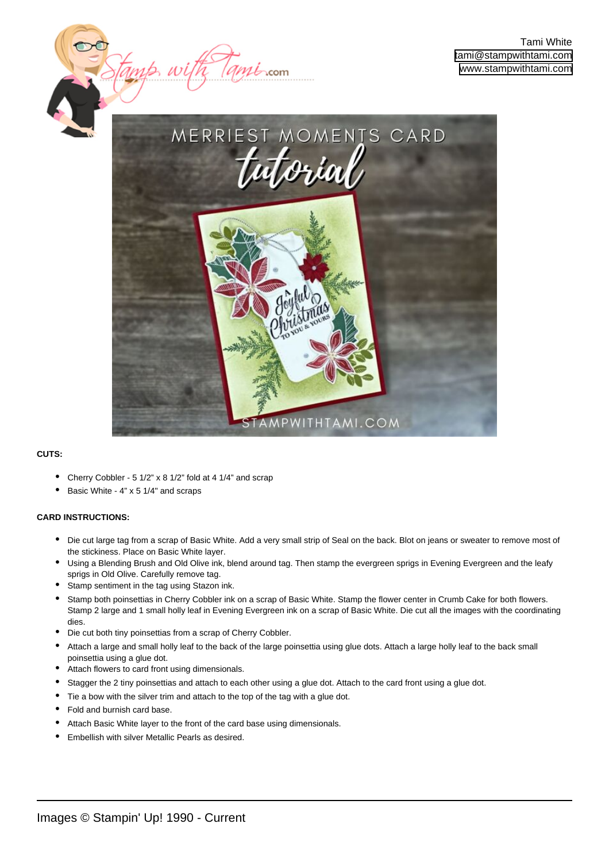

## **CUTS:**

- Cherry Cobbler 5 1/2" x 8 1/2" fold at 4 1/4" and scrap
- Basic White 4" x 5 1/4" and scraps

## **CARD INSTRUCTIONS:**

- Die cut large tag from a scrap of Basic White. Add a very small strip of Seal on the back. Blot on jeans or sweater to remove most of the stickiness. Place on Basic White layer.
- Using a Blending Brush and Old Olive ink, blend around tag. Then stamp the evergreen sprigs in Evening Evergreen and the leafy sprigs in Old Olive. Carefully remove tag. •
- Stamp sentiment in the tag using Stazon ink.
- Stamp both poinsettias in Cherry Cobbler ink on a scrap of Basic White. Stamp the flower center in Crumb Cake for both flowers. Stamp 2 large and 1 small holly leaf in Evening Evergreen ink on a scrap of Basic White. Die cut all the images with the coordinating dies. •
- Die cut both tiny poinsettias from a scrap of Cherry Cobbler.
- Attach a large and small holly leaf to the back of the large poinsettia using glue dots. Attach a large holly leaf to the back small poinsettia using a glue dot.
- Attach flowers to card front using dimensionals.
- Stagger the 2 tiny poinsettias and attach to each other using a glue dot. Attach to the card front using a glue dot.
- Tie a bow with the silver trim and attach to the top of the tag with a glue dot.
- Fold and burnish card base.
- Attach Basic White layer to the front of the card base using dimensionals.
- Embellish with silver Metallic Pearls as desired.